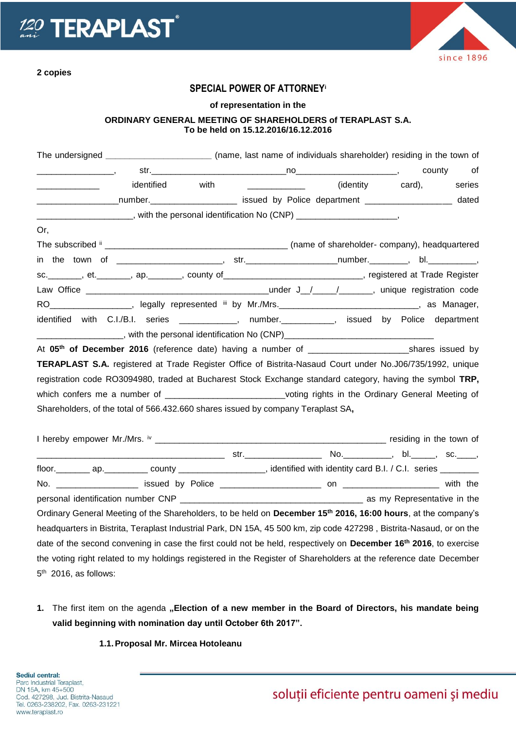



## **SPECIAL POWER OF ATTORNEY<sup>i</sup>**

#### **of representation in the**

## **ORDINARY GENERAL MEETING OF SHAREHOLDERS of TERAPLAST S.A. To be held on 15.12.2016/16.12.2016**

| The undersigned _____________________________(name, last name of individuals shareholder) residing in the town of         |            |  |                                              |  |
|---------------------------------------------------------------------------------------------------------------------------|------------|--|----------------------------------------------|--|
|                                                                                                                           |            |  |                                              |  |
|                                                                                                                           | identified |  | with _______________ (identity card), series |  |
| ____________________number._________________________ issued by Police department ___________________ dated                |            |  |                                              |  |
| _______________________, with the personal identification No (CNP) ______________________,                                |            |  |                                              |  |
| Or,                                                                                                                       |            |  |                                              |  |
|                                                                                                                           |            |  |                                              |  |
|                                                                                                                           |            |  |                                              |  |
| sc. _______, et. _______, ap. _______, county of _____________________________, registered at Trade Register              |            |  |                                              |  |
|                                                                                                                           |            |  |                                              |  |
| RO___________________, legally represented iii by Mr./Mrs._______________________________, as Manager,                    |            |  |                                              |  |
| identified with C.I./B.I. series ____________, number._________, issued by Police department                              |            |  |                                              |  |
| ______________________, with the personal identification No (CNP)___________________________________                      |            |  |                                              |  |
|                                                                                                                           |            |  |                                              |  |
| TERAPLAST S.A. registered at Trade Register Office of Bistrita-Nasaud Court under No.J06/735/1992, unique                 |            |  |                                              |  |
| registration code RO3094980, traded at Bucharest Stock Exchange standard category, having the symbol TRP,                 |            |  |                                              |  |
| which confers me a number of _____________________________voting rights in the Ordinary General Meeting of                |            |  |                                              |  |
| Shareholders, of the total of 566.432.660 shares issued by company Teraplast SA,                                          |            |  |                                              |  |
|                                                                                                                           |            |  |                                              |  |
|                                                                                                                           |            |  |                                              |  |
|                                                                                                                           |            |  |                                              |  |
| floor. _________ ap. ___________ county ___________________, identified with identity card B.I. / C.I. series ________    |            |  |                                              |  |
|                                                                                                                           |            |  |                                              |  |
|                                                                                                                           |            |  |                                              |  |
| Ordinary General Meeting of the Shareholders, to be held on December 15 <sup>th</sup> 2016, 16:00 hours, at the company's |            |  |                                              |  |
| bendeuerken in Dietrite, Tenerlaat beductriel Deul: DN 458, 45,500 bus. die eerle 407000. Dietrite Negeust en en the      |            |  |                                              |  |

headquarters in Bistrita, Teraplast Industrial Park, DN 15A, 45 500 km, zip code 427298 , Bistrita-Nasaud, or on the date of the second convening in case the first could not be held, respectively on **December 16th 2016**, to exercise the voting right related to my holdings registered in the Register of Shareholders at the reference date December 5<sup>th</sup> 2016, as follows:

1. The first item on the agenda "Election of a new member in the Board of Directors, his mandate being **valid beginning with nomination day until October 6th 2017".**

### **1.1.Proposal Mr. Mircea Hotoleanu**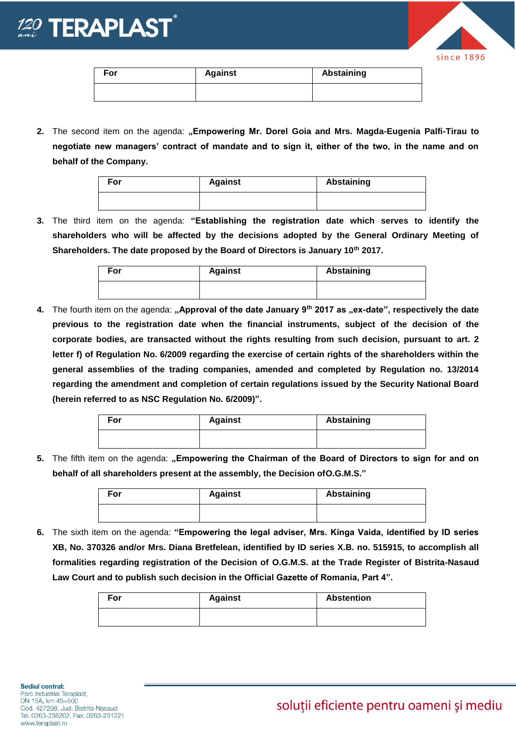



| For | <b>Against</b> | Abstaining |  |
|-----|----------------|------------|--|
|     |                |            |  |

**2.** The second item on the agenda: **"Empowering Mr. Dorel Goia and Mrs. Magda-Eugenia Palfi-Tirau to negotiate new managers' contract of mandate and to sign it, either of the two, in the name and on behalf of the Company.** 

| For | <b>Against</b> | Abstaining |  |
|-----|----------------|------------|--|
|     |                |            |  |

**3.** The third item on the agenda: **"Establishing the registration date which serves to identify the shareholders who will be affected by the decisions adopted by the General Ordinary Meeting of Shareholders. The date proposed by the Board of Directors is January 10th 2017.**

| For | <b>Against</b> | Abstaining |
|-----|----------------|------------|
|     |                |            |

**4.** The fourth item on the agenda: **"Approval of the date January 9th 2017 as "ex-date", respectively the date previous to the registration date when the financial instruments, subject of the decision of the corporate bodies, are transacted without the rights resulting from such decision, pursuant to art. 2 letter f) of Regulation No. 6/2009 regarding the exercise of certain rights of the shareholders within the general assemblies of the trading companies, amended and completed by Regulation no. 13/2014 regarding the amendment and completion of certain regulations issued by the Security National Board (herein referred to as NSC Regulation No. 6/2009)".** 

| For | <b>Against</b> | Abstaining |  |
|-----|----------------|------------|--|
|     |                |            |  |

5. The fifth item on the agenda: "Empowering the Chairman of the Board of Directors to sign for and on **behalf of all shareholders present at the assembly, the Decision ofO.G.M.S."**

| For | <b>Against</b> | Abstaining |  |
|-----|----------------|------------|--|
|     |                |            |  |

**6.** The sixth item on the agenda: **"Empowering the legal adviser, Mrs. Kinga Vaida, identified by ID series XB, No. 370326 and/or Mrs. Diana Bretfelean, identified by ID series X.B. no. 515915, to accomplish all formalities regarding registration of the Decision of O.G.M.S. at the Trade Register of Bistrita-Nasaud Law Court and to publish such decision in the Official Gazette of Romania, Part 4".** 

| For | <b>Against</b> | <b>Abstention</b> |
|-----|----------------|-------------------|
|     |                |                   |